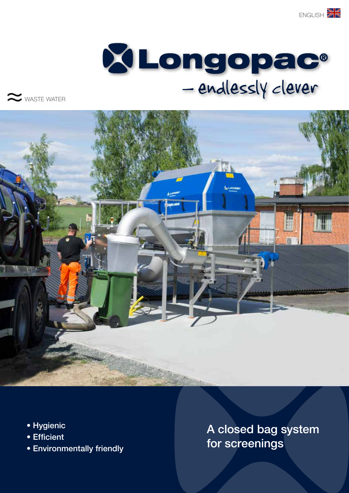



WASTE WATER



- Hygienic
- Efficient
- Environmentally friendly

A closed bag system for screenings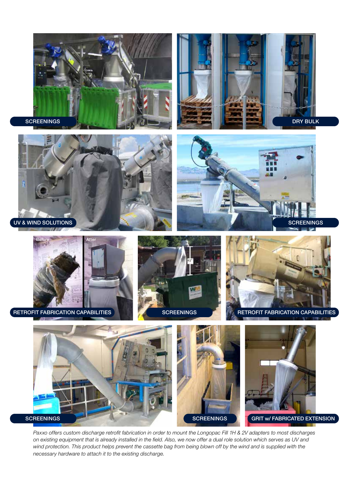















*Paxxo offers custom discharge retrofit fabrication in order to mount the Longopac Fill 1H & 2V adapters to most discharges on existing equipment that is already installed in the field. Also, we now offer a dual role solution which serves as UV and*  wind protection. This product helps prevent the cassette bag from being blown off by the wind and is supplied with the *necessary hardware to attach it to the existing discharge.*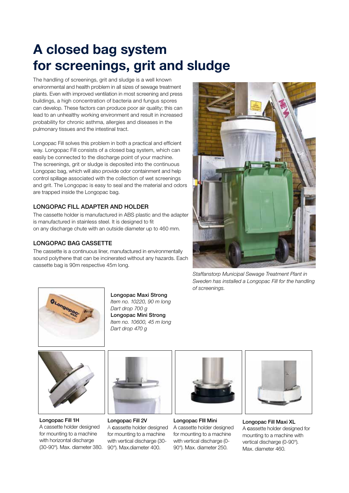## A closed bag system for screenings, grit and sludge

The handling of screenings, grit and sludge is a well known environmental and health problem in all sizes of sewage treatment plants. Even with improved ventilation in most screening and press buildings, a high concentration of bacteria and fungus spores can develop. These factors can produce poor air quality; this can lead to an unhealthy working environment and result in increased probability for chronic asthma, allergies and diseases in the pulmonary tissues and the intestinal tract.

Longopac Fill solves this problem in both a practical and efficient way. Longopac Fill consists of a closed bag system, which can easily be connected to the discharge point of your machine. The screenings, grit or sludge is deposited into the continuous Longopac bag, which will also provide odor containment and help control spillage associated with the collection of wet screenings and grit. The Longopac is easy to seal and the material and odors are trapped inside the Longopac bag.

## LONGOPAC FILL ADAPTER AND HOLDER

The cassette holder is manufactured in ABS plastic and the adapter is manufactured in stainless steel. It is designed to fit on any discharge chute with an outside diameter up to 460 mm.

## LONGOPAC BAG CASSETTE

The cassette is a continuous liner, manufactured in environmentally sound polythene that can be incinerated without any hazards. Each cassette bag is 90m respective 45m long.



*Staffanstorp Municipal Sewage Treatment Plant in Sweden has installed a Longopac Fill for the handling of screenings.*



Longopac Maxi Strong *Item no. 10220, 90 m long Dart drop 700 g* Longopac Mini Strong *Item no. 10600, 45 m long Dart drop 470 g*



Longopac Fill 1H A cassette holder designed for mounting to a machine with horizontal discharge (30-90°). Max. diameter 380.



Longopac Fill 2V A cassette holder designed for mounting to a machine with vertical discharge (30- 90°). Max.diameter 400.



Longopac FIll Mini A cassette holder designed for mounting to a machine with vertical discharge (0- 90°). Max. diameter 250.



Longopac Fill Maxi XL A cassette holder designed for mounting to a machine with vertical discharge (0-90°). Max. diameter 460.